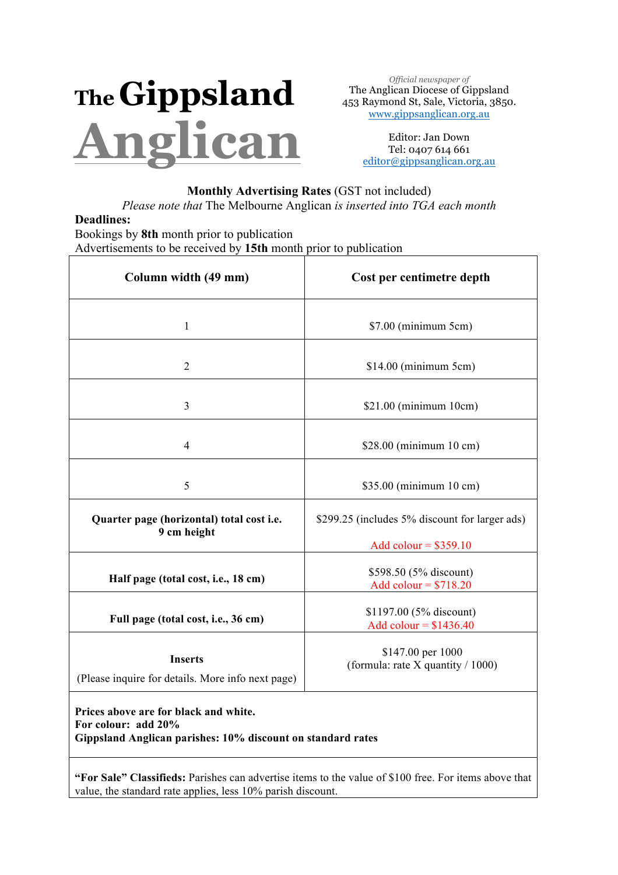# **TheGippsland Anglican**

*Official newspaper of* The Anglican Diocese of Gippsland 453 Raymond St, Sale, Victoria, 3850. www.gippsanglican.org.au

> Editor: Jan Down Tel: 0407 614 661 editor@gippsanglican.org.au

## **Monthly Advertising Rates** (GST not included)

*Please note that* The Melbourne Anglican *is inserted into TGA each month*

## **Deadlines:**

Bookings by **8th** month prior to publication Advertisements to be received by **15th** month prior to publication

| Column width (49 mm)                                                                                                        | Cost per centimetre depth                                                  |
|-----------------------------------------------------------------------------------------------------------------------------|----------------------------------------------------------------------------|
| $\mathbf{1}$                                                                                                                | \$7.00 (minimum 5cm)                                                       |
| $\overline{2}$                                                                                                              | $$14.00$ (minimum 5cm)                                                     |
| $\overline{3}$                                                                                                              | \$21.00 (minimum 10cm)                                                     |
| 4                                                                                                                           | \$28.00 (minimum 10 cm)                                                    |
| 5                                                                                                                           | \$35.00 (minimum 10 cm)                                                    |
| Quarter page (horizontal) total cost i.e.<br>9 cm height                                                                    | \$299.25 (includes 5% discount for larger ads)                             |
| Half page (total cost, i.e., 18 cm)                                                                                         | Add colour = $$359.10$<br>\$598.50 (5% discount)<br>Add colour = $$718.20$ |
| Full page (total cost, i.e., 36 cm)                                                                                         | \$1197.00 (5% discount)<br>Add colour = $$1436.40$                         |
| <b>Inserts</b><br>(Please inquire for details. More info next page)                                                         | \$147.00 per 1000<br>(formula: rate $X$ quantity / 1000)                   |
| Prices above are for black and white.<br>For colour: add 20%<br>Gippsland Anglican parishes: 10% discount on standard rates |                                                                            |

**"For Sale" Classifieds:** Parishes can advertise items to the value of \$100 free. For items above that value, the standard rate applies, less 10% parish discount.